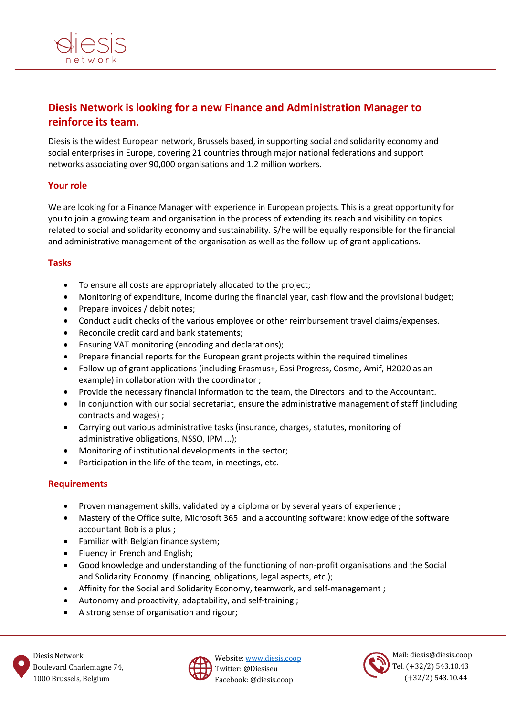

# **Diesis Network is looking for a new Finance and Administration Manager to reinforce its team.**

Diesis is the widest European network, Brussels based, in supporting social and solidarity economy and social enterprises in Europe, covering 21 countries through major national federations and support networks associating over 90,000 organisations and 1.2 million workers.

# **Your role**

We are looking for a Finance Manager with experience in European projects. This is a great opportunity for you to join a growing team and organisation in the process of extending its reach and visibility on topics related to social and solidarity economy and sustainability. S/he will be equally responsible for the financial and administrative management of the organisation as well as the follow-up of grant applications.

### **Tasks**

- To ensure all costs are appropriately allocated to the project;
- Monitoring of expenditure, income during the financial year, cash flow and the provisional budget;
- Prepare invoices / debit notes;
- Conduct audit checks of the various employee or other reimbursement travel claims/expenses.
- Reconcile credit card and bank statements;
- Ensuring VAT monitoring (encoding and declarations);
- Prepare financial reports for the European grant projects within the required timelines
- Follow-up of grant applications (including Erasmus+, Easi Progress, Cosme, Amif, H2020 as an example) in collaboration with the coordinator ;
- Provide the necessary financial information to the team, the Directors and to the Accountant.
- In conjunction with our social secretariat, ensure the administrative management of staff (including contracts and wages) ;
- Carrying out various administrative tasks (insurance, charges, statutes, monitoring of administrative obligations, NSSO, IPM ...);
- Monitoring of institutional developments in the sector;
- Participation in the life of the team, in meetings, etc.

# **Requirements**

- Proven management skills, validated by a diploma or by several years of experience ;
- Mastery of the Office suite, Microsoft 365 and a accounting software: knowledge of the software accountant Bob is a plus ;
- Familiar with Belgian finance system;
- Fluency in French and English;
- Good knowledge and understanding of the functioning of non-profit organisations and the Social and Solidarity Economy (financing, obligations, legal aspects, etc.);
- Affinity for the Social and Solidarity Economy, teamwork, and self-management ;
- Autonomy and proactivity, adaptability, and self-training ;
- A strong sense of organisation and rigour;



Website: [www.diesis.coop](http://www.diesis.coop/) Twitter: @Diesiseu Facebook: @diesis.coop



Mail: diesis@diesis.coop Tel. (+32/2) 543.10.43 (+32/2) 543.10.44